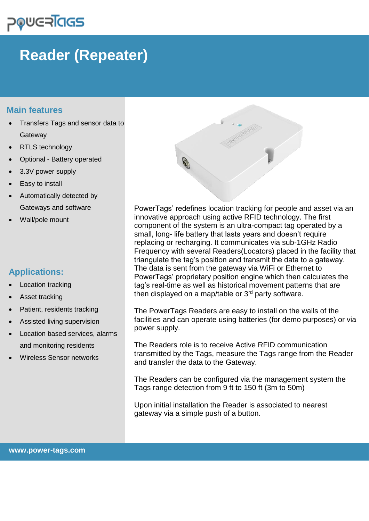# ⊃®⋓⋐RĪa**G**S

## **Reader (Repeater)**

### **Main features**

- Transfers Tags and sensor data to **Gateway**
- RTLS technology
- Optional Battery operated
- 3.3V power supply
- Easy to install
- Automatically detected by Gateways and software
- Wall/pole mount

## **Applications:**

- **Location tracking**
- Asset tracking
- Patient, residents tracking
- Assisted living supervision
- Location based services, alarms and monitoring residents
- Wireless Sensor networks



PowerTags' redefines location tracking for people and asset via an innovative approach using active RFID technology. The first component of the system is an ultra-compact tag operated by a small, long- life battery that lasts years and doesn't require replacing or recharging. It communicates via sub-1GHz Radio Frequency with several Readers(Locators) placed in the facility that triangulate the tag's position and transmit the data to a gateway. The data is sent from the gateway via WiFi or Ethernet to PowerTags' proprietary position engine which then calculates the tag's real-time as well as historical movement patterns that are then displayed on a map/table or  $3<sup>rd</sup>$  party software.

The PowerTags Readers are easy to install on the walls of the facilities and can operate using batteries (for demo purposes) or via power supply.

The Readers role is to receive Active RFID communication transmitted by the Tags, measure the Tags range from the Reader and transfer the data to the Gateway.

The Readers can be configured via the management system the Tags range detection from 9 ft to 150 ft (3m to 50m)

Upon initial installation the Reader is associated to nearest gateway via a simple push of a button.